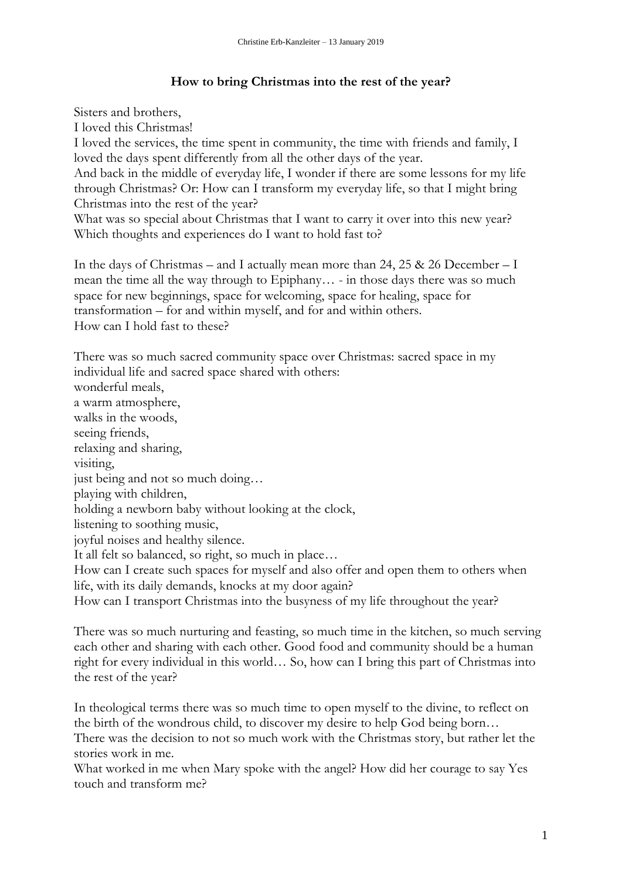## **How to bring Christmas into the rest of the year?**

Sisters and brothers,

I loved this Christmas!

I loved the services, the time spent in community, the time with friends and family, I loved the days spent differently from all the other days of the year.

And back in the middle of everyday life, I wonder if there are some lessons for my life through Christmas? Or: How can I transform my everyday life, so that I might bring Christmas into the rest of the year?

What was so special about Christmas that I want to carry it over into this new year? Which thoughts and experiences do I want to hold fast to?

In the days of Christmas – and I actually mean more than 24, 25 & 26 December – I mean the time all the way through to Epiphany… - in those days there was so much space for new beginnings, space for welcoming, space for healing, space for transformation – for and within myself, and for and within others. How can I hold fast to these?

There was so much sacred community space over Christmas: sacred space in my individual life and sacred space shared with others: wonderful meals, a warm atmosphere, walks in the woods, seeing friends, relaxing and sharing, visiting, just being and not so much doing… playing with children, holding a newborn baby without looking at the clock, listening to soothing music, joyful noises and healthy silence. It all felt so balanced, so right, so much in place… How can I create such spaces for myself and also offer and open them to others when life, with its daily demands, knocks at my door again? How can I transport Christmas into the busyness of my life throughout the year?

There was so much nurturing and feasting, so much time in the kitchen, so much serving each other and sharing with each other. Good food and community should be a human right for every individual in this world… So, how can I bring this part of Christmas into the rest of the year?

In theological terms there was so much time to open myself to the divine, to reflect on the birth of the wondrous child, to discover my desire to help God being born…

There was the decision to not so much work with the Christmas story, but rather let the stories work in me.

What worked in me when Mary spoke with the angel? How did her courage to say Yes touch and transform me?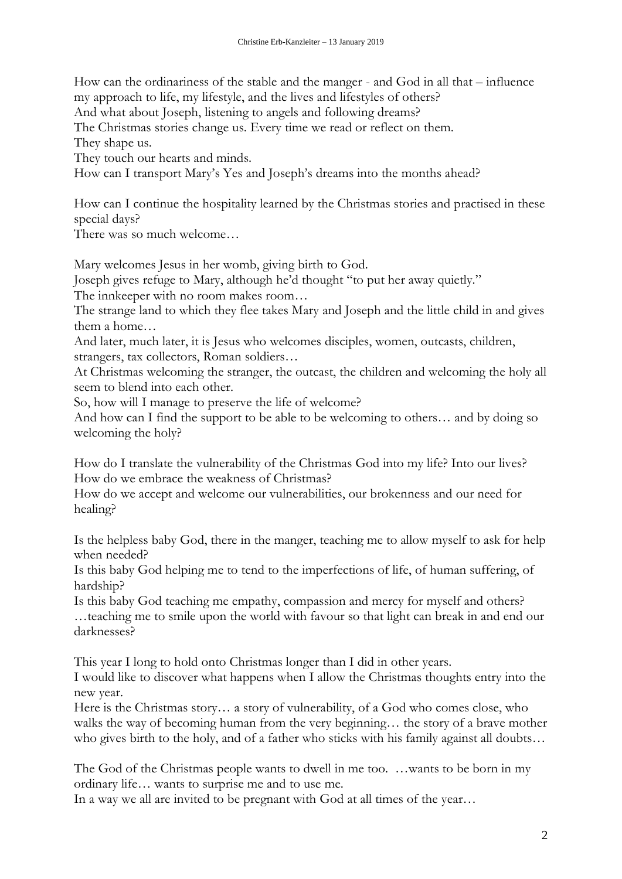How can the ordinariness of the stable and the manger - and God in all that – influence my approach to life, my lifestyle, and the lives and lifestyles of others?

And what about Joseph, listening to angels and following dreams?

The Christmas stories change us. Every time we read or reflect on them.

They shape us.

They touch our hearts and minds.

How can I transport Mary's Yes and Joseph's dreams into the months ahead?

How can I continue the hospitality learned by the Christmas stories and practised in these special days?

There was so much welcome…

Mary welcomes Jesus in her womb, giving birth to God.

Joseph gives refuge to Mary, although he'd thought "to put her away quietly."

The innkeeper with no room makes room…

The strange land to which they flee takes Mary and Joseph and the little child in and gives them a home…

And later, much later, it is Jesus who welcomes disciples, women, outcasts, children, strangers, tax collectors, Roman soldiers…

At Christmas welcoming the stranger, the outcast, the children and welcoming the holy all seem to blend into each other.

So, how will I manage to preserve the life of welcome?

And how can I find the support to be able to be welcoming to others… and by doing so welcoming the holy?

How do I translate the vulnerability of the Christmas God into my life? Into our lives? How do we embrace the weakness of Christmas?

How do we accept and welcome our vulnerabilities, our brokenness and our need for healing?

Is the helpless baby God, there in the manger, teaching me to allow myself to ask for help when needed?

Is this baby God helping me to tend to the imperfections of life, of human suffering, of hardship?

Is this baby God teaching me empathy, compassion and mercy for myself and others? …teaching me to smile upon the world with favour so that light can break in and end our darknesses?

This year I long to hold onto Christmas longer than I did in other years.

I would like to discover what happens when I allow the Christmas thoughts entry into the new year.

Here is the Christmas story… a story of vulnerability, of a God who comes close, who walks the way of becoming human from the very beginning… the story of a brave mother who gives birth to the holy, and of a father who sticks with his family against all doubts…

The God of the Christmas people wants to dwell in me too. …wants to be born in my ordinary life… wants to surprise me and to use me.

In a way we all are invited to be pregnant with God at all times of the year…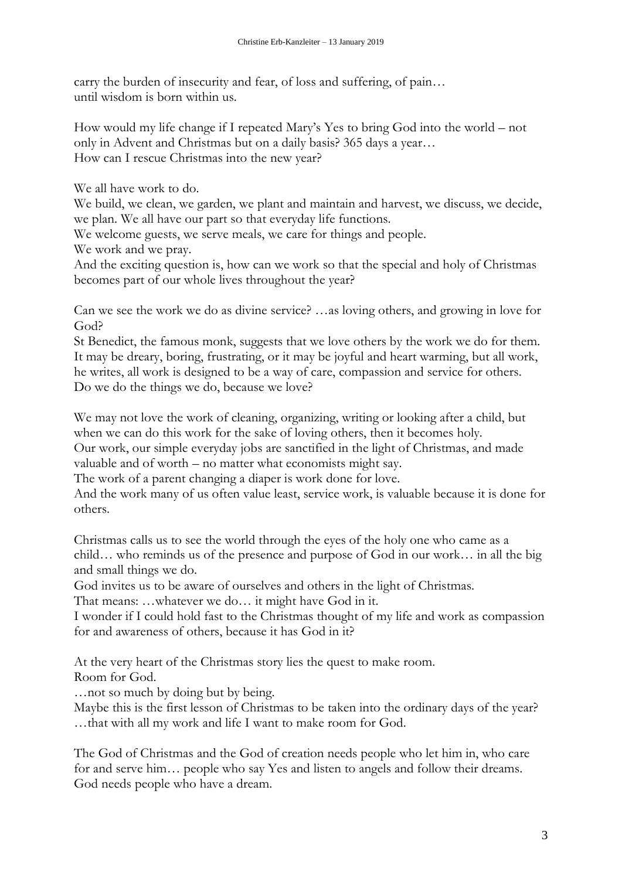carry the burden of insecurity and fear, of loss and suffering, of pain… until wisdom is born within us.

How would my life change if I repeated Mary's Yes to bring God into the world – not only in Advent and Christmas but on a daily basis? 365 days a year… How can I rescue Christmas into the new year?

We all have work to do.

We build, we clean, we garden, we plant and maintain and harvest, we discuss, we decide, we plan. We all have our part so that everyday life functions.

We welcome guests, we serve meals, we care for things and people.

We work and we pray.

And the exciting question is, how can we work so that the special and holy of Christmas becomes part of our whole lives throughout the year?

Can we see the work we do as divine service? …as loving others, and growing in love for God?

St Benedict, the famous monk, suggests that we love others by the work we do for them. It may be dreary, boring, frustrating, or it may be joyful and heart warming, but all work, he writes, all work is designed to be a way of care, compassion and service for others. Do we do the things we do, because we love?

We may not love the work of cleaning, organizing, writing or looking after a child, but when we can do this work for the sake of loving others, then it becomes holy.

Our work, our simple everyday jobs are sanctified in the light of Christmas, and made valuable and of worth – no matter what economists might say.

The work of a parent changing a diaper is work done for love.

And the work many of us often value least, service work, is valuable because it is done for others.

Christmas calls us to see the world through the eyes of the holy one who came as a child… who reminds us of the presence and purpose of God in our work… in all the big and small things we do.

God invites us to be aware of ourselves and others in the light of Christmas.

That means: …whatever we do… it might have God in it.

I wonder if I could hold fast to the Christmas thought of my life and work as compassion for and awareness of others, because it has God in it?

At the very heart of the Christmas story lies the quest to make room. Room for God.

…not so much by doing but by being.

Maybe this is the first lesson of Christmas to be taken into the ordinary days of the year? …that with all my work and life I want to make room for God.

The God of Christmas and the God of creation needs people who let him in, who care for and serve him… people who say Yes and listen to angels and follow their dreams. God needs people who have a dream.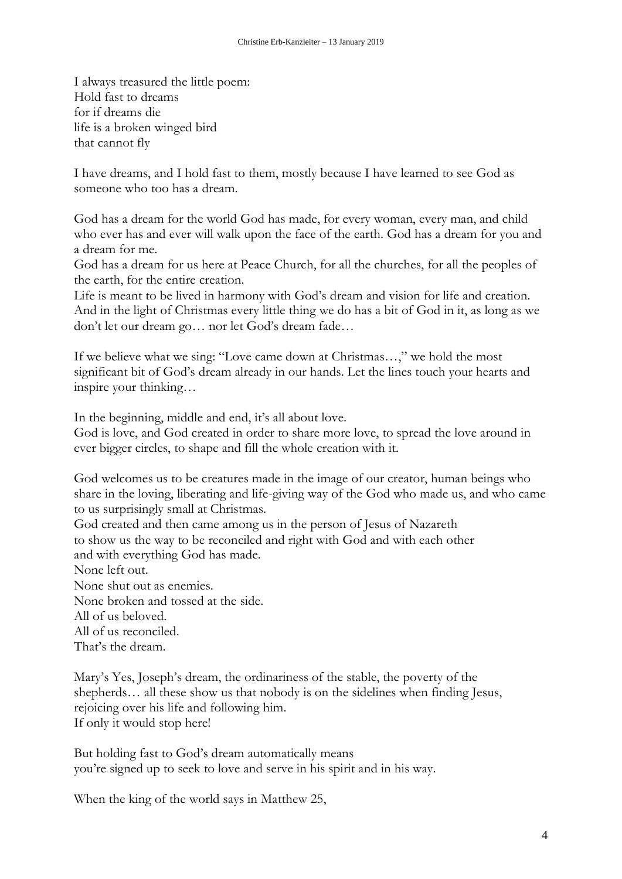I always treasured the little poem: Hold fast to dreams for if dreams die life is a broken winged bird that cannot fly

I have dreams, and I hold fast to them, mostly because I have learned to see God as someone who too has a dream.

God has a dream for the world God has made, for every woman, every man, and child who ever has and ever will walk upon the face of the earth. God has a dream for you and a dream for me.

God has a dream for us here at Peace Church, for all the churches, for all the peoples of the earth, for the entire creation.

Life is meant to be lived in harmony with God's dream and vision for life and creation. And in the light of Christmas every little thing we do has a bit of God in it, as long as we don't let our dream go… nor let God's dream fade…

If we believe what we sing: "Love came down at Christmas…," we hold the most significant bit of God's dream already in our hands. Let the lines touch your hearts and inspire your thinking…

In the beginning, middle and end, it's all about love.

God is love, and God created in order to share more love, to spread the love around in ever bigger circles, to shape and fill the whole creation with it.

God welcomes us to be creatures made in the image of our creator, human beings who share in the loving, liberating and life-giving way of the God who made us, and who came to us surprisingly small at Christmas.

God created and then came among us in the person of Jesus of Nazareth to show us the way to be reconciled and right with God and with each other and with everything God has made.

None left out.

None shut out as enemies.

None broken and tossed at the side.

All of us beloved.

All of us reconciled. That's the dream.

Mary's Yes, Joseph's dream, the ordinariness of the stable, the poverty of the shepherds... all these show us that nobody is on the sidelines when finding Jesus, rejoicing over his life and following him. If only it would stop here!

But holding fast to God's dream automatically means you're signed up to seek to love and serve in his spirit and in his way.

When the king of the world says in Matthew 25,